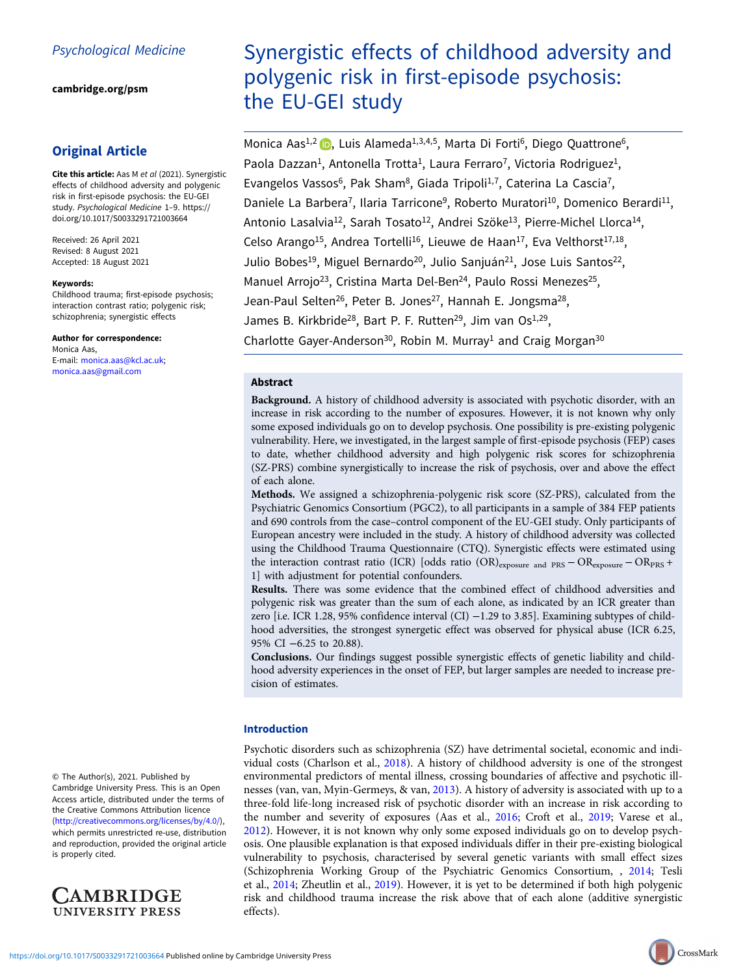[cambridge.org/psm](https://www.cambridge.org/psm)

# Original Article

Cite this article: Aas M et al (2021). Synergistic effects of childhood adversity and polygenic risk in first-episode psychosis: the EU-GEI study. Psychological Medicine 1–9. [https://](https://doi.org/10.1017/S0033291721003664) [doi.org/10.1017/S0033291721003664](https://doi.org/10.1017/S0033291721003664)

Received: 26 April 2021 Revised: 8 August 2021 Accepted: 18 August 2021

#### Keywords:

Childhood trauma; first-episode psychosis; interaction contrast ratio; polygenic risk; schizophrenia; synergistic effects

# Author for correspondence:

Monica Aas, E-mail: [monica.aas@kcl.ac.uk](mailto:monica.aas@kcl.ac.uk); [monica.aas@gmail.com](mailto:monica.aas@gmail.com)

Synergistic effects of childhood adversity and polygenic risk in first-episode psychosis: the EU-GEI study

Monica Aas<sup>1[,](https://orcid.org/0000-0002-2338-5826)2</sup> (b), Luis Alameda<sup>1,3,4,5</sup>, Marta Di Forti<sup>6</sup>, Diego Quattrone<sup>6</sup>, Paola Dazzan<sup>1</sup>, Antonella Trotta<sup>1</sup>, Laura Ferraro<sup>7</sup>, Victoria Rodriguez<sup>1</sup>, Evangelos Vassos<sup>6</sup>, Pak Sham<sup>8</sup>, Giada Tripoli<sup>1,7</sup>, Caterina La Cascia<sup>7</sup>, Daniele La Barbera<sup>7</sup>, Ilaria Tarricone<sup>9</sup>, Roberto Muratori<sup>10</sup>, Domenico Berardi<sup>11</sup>, Antonio Lasalvia<sup>12</sup>, Sarah Tosato<sup>12</sup>, Andrei Szöke<sup>13</sup>, Pierre-Michel Llorca<sup>14</sup>, Celso Arango<sup>15</sup>, Andrea Tortelli<sup>16</sup>, Lieuwe de Haan<sup>17</sup>, Eva Velthorst<sup>17,18</sup>, Julio Bobes<sup>19</sup>, Miguel Bernardo<sup>20</sup>, Julio Sanjuán<sup>21</sup>, Jose Luis Santos<sup>22</sup>, Manuel Arrojo<sup>23</sup>, Cristina Marta Del-Ben<sup>24</sup>, Paulo Rossi Menezes<sup>25</sup>, Jean-Paul Selten<sup>26</sup>, Peter B. Jones<sup>27</sup>, Hannah E. Jongsma<sup>28</sup>, James B. Kirkbride<sup>28</sup>, Bart P. F. Rutten<sup>29</sup>, Jim van Os<sup>1,29</sup>, Charlotte Gayer-Anderson<sup>30</sup>, Robin M. Murray<sup>1</sup> and Craig Morgan<sup>30</sup>

# Abstract

Background. A history of childhood adversity is associated with psychotic disorder, with an increase in risk according to the number of exposures. However, it is not known why only some exposed individuals go on to develop psychosis. One possibility is pre-existing polygenic vulnerability. Here, we investigated, in the largest sample of first-episode psychosis (FEP) cases to date, whether childhood adversity and high polygenic risk scores for schizophrenia (SZ-PRS) combine synergistically to increase the risk of psychosis, over and above the effect of each alone.

Methods. We assigned a schizophrenia-polygenic risk score (SZ-PRS), calculated from the Psychiatric Genomics Consortium (PGC2), to all participants in a sample of 384 FEP patients and 690 controls from the case–control component of the EU-GEI study. Only participants of European ancestry were included in the study. A history of childhood adversity was collected using the Childhood Trauma Questionnaire (CTQ). Synergistic effects were estimated using the interaction contrast ratio (ICR) [odds ratio (OR)exposure and PRS − ORexposure − ORPRS + 1] with adjustment for potential confounders.

Results. There was some evidence that the combined effect of childhood adversities and polygenic risk was greater than the sum of each alone, as indicated by an ICR greater than zero [i.e. ICR 1.28, 95% confidence interval (CI) −1.29 to 3.85]. Examining subtypes of childhood adversities, the strongest synergetic effect was observed for physical abuse (ICR 6.25, 95% CI −6.25 to 20.88).

Conclusions. Our findings suggest possible synergistic effects of genetic liability and childhood adversity experiences in the onset of FEP, but larger samples are needed to increase precision of estimates.

# Introduction

Psychotic disorders such as schizophrenia (SZ) have detrimental societal, economic and individual costs (Charlson et al., [2018\)](#page-6-0). A history of childhood adversity is one of the strongest environmental predictors of mental illness, crossing boundaries of affective and psychotic illnesses (van, van, Myin-Germeys, & van, [2013](#page-8-0)). A history of adversity is associated with up to a three-fold life-long increased risk of psychotic disorder with an increase in risk according to the number and severity of exposures (Aas et al., [2016](#page-6-0); Croft et al., [2019](#page-6-0); Varese et al., [2012\)](#page-8-0). However, it is not known why only some exposed individuals go on to develop psychosis. One plausible explanation is that exposed individuals differ in their pre-existing biological vulnerability to psychosis, characterised by several genetic variants with small effect sizes (Schizophrenia Working Group of the Psychiatric Genomics Consortium, , [2014](#page-7-0); Tesli et al., [2014](#page-7-0); Zheutlin et al., [2019\)](#page-8-0). However, it is yet to be determined if both high polygenic risk and childhood trauma increase the risk above that of each alone (additive synergistic effects).

© The Author(s), 2021. Published by Cambridge University Press. This is an Open Access article, distributed under the terms of the Creative Commons Attribution licence ([http://creativecommons.org/licenses/by/4.0/\)](http://creativecommons.org/licenses/by/4.0/), which permits unrestricted re-use, distribution and reproduction, provided the original article is properly cited.

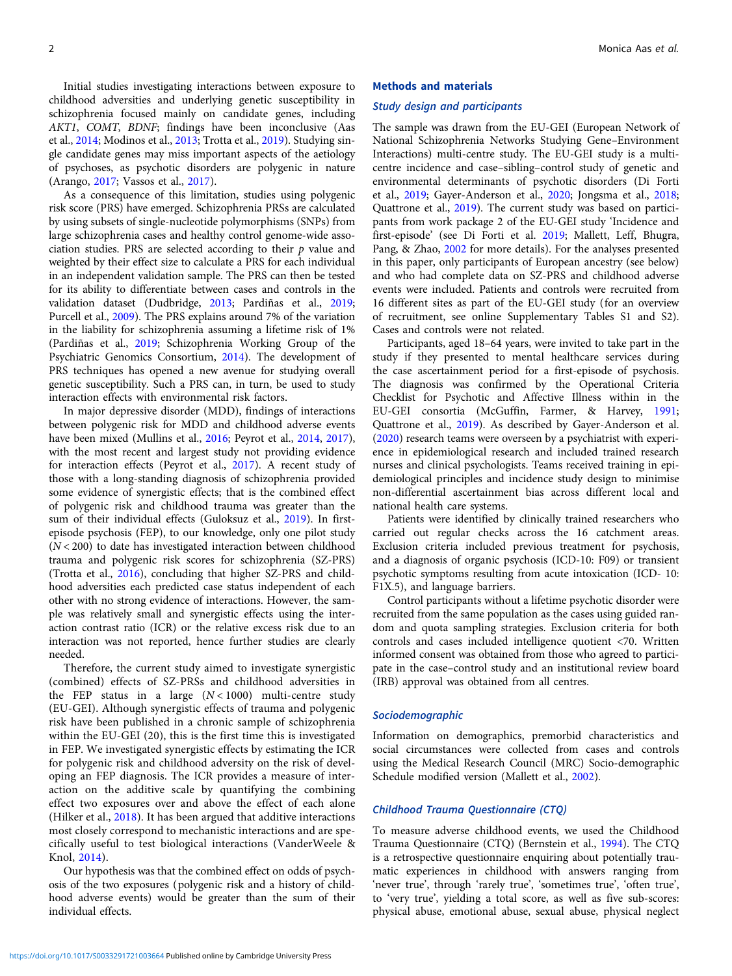Initial studies investigating interactions between exposure to childhood adversities and underlying genetic susceptibility in schizophrenia focused mainly on candidate genes, including AKT1, COMT, BDNF; findings have been inconclusive (Aas et al., [2014;](#page-6-0) Modinos et al., [2013;](#page-7-0) Trotta et al., [2019](#page-7-0)). Studying single candidate genes may miss important aspects of the aetiology of psychoses, as psychotic disorders are polygenic in nature (Arango, [2017;](#page-6-0) Vassos et al., [2017\)](#page-8-0).

As a consequence of this limitation, studies using polygenic risk score (PRS) have emerged. Schizophrenia PRSs are calculated by using subsets of single-nucleotide polymorphisms (SNPs) from large schizophrenia cases and healthy control genome-wide association studies. PRS are selected according to their  $p$  value and weighted by their effect size to calculate a PRS for each individual in an independent validation sample. The PRS can then be tested for its ability to differentiate between cases and controls in the validation dataset (Dudbridge, [2013;](#page-7-0) Pardiñas et al., [2019](#page-7-0); Purcell et al., [2009\)](#page-7-0). The PRS explains around 7% of the variation in the liability for schizophrenia assuming a lifetime risk of 1% (Pardiñas et al., [2019](#page-7-0); Schizophrenia Working Group of the Psychiatric Genomics Consortium, [2014\)](#page-7-0). The development of PRS techniques has opened a new avenue for studying overall genetic susceptibility. Such a PRS can, in turn, be used to study interaction effects with environmental risk factors.

In major depressive disorder (MDD), findings of interactions between polygenic risk for MDD and childhood adverse events have been mixed (Mullins et al., [2016;](#page-7-0) Peyrot et al., [2014](#page-7-0), [2017\)](#page-7-0), with the most recent and largest study not providing evidence for interaction effects (Peyrot et al., [2017](#page-7-0)). A recent study of those with a long-standing diagnosis of schizophrenia provided some evidence of synergistic effects; that is the combined effect of polygenic risk and childhood trauma was greater than the sum of their individual effects (Guloksuz et al., [2019](#page-7-0)). In firstepisode psychosis (FEP), to our knowledge, only one pilot study  $(N < 200)$  to date has investigated interaction between childhood trauma and polygenic risk scores for schizophrenia (SZ-PRS) (Trotta et al., [2016\)](#page-7-0), concluding that higher SZ-PRS and childhood adversities each predicted case status independent of each other with no strong evidence of interactions. However, the sample was relatively small and synergistic effects using the interaction contrast ratio (ICR) or the relative excess risk due to an interaction was not reported, hence further studies are clearly needed.

Therefore, the current study aimed to investigate synergistic (combined) effects of SZ-PRSs and childhood adversities in the FEP status in a large  $(N < 1000)$  multi-centre study (EU-GEI). Although synergistic effects of trauma and polygenic risk have been published in a chronic sample of schizophrenia within the EU-GEI (20), this is the first time this is investigated in FEP. We investigated synergistic effects by estimating the ICR for polygenic risk and childhood adversity on the risk of developing an FEP diagnosis. The ICR provides a measure of interaction on the additive scale by quantifying the combining effect two exposures over and above the effect of each alone (Hilker et al., [2018](#page-7-0)). It has been argued that additive interactions most closely correspond to mechanistic interactions and are specifically useful to test biological interactions (VanderWeele & Knol, [2014\)](#page-8-0).

Our hypothesis was that the combined effect on odds of psychosis of the two exposures (polygenic risk and a history of childhood adverse events) would be greater than the sum of their individual effects.

#### Methods and materials

#### Study design and participants

The sample was drawn from the EU-GEI (European Network of National Schizophrenia Networks Studying Gene–Environment Interactions) multi-centre study. The EU-GEI study is a multicentre incidence and case–sibling–control study of genetic and environmental determinants of psychotic disorders (Di Forti et al., [2019](#page-6-0); Gayer-Anderson et al., [2020](#page-7-0); Jongsma et al., [2018;](#page-7-0) Quattrone et al., [2019\)](#page-7-0). The current study was based on participants from work package 2 of the EU-GEI study 'Incidence and first-episode' (see Di Forti et al. [2019;](#page-6-0) Mallett, Leff, Bhugra, Pang, & Zhao, [2002](#page-7-0) for more details). For the analyses presented in this paper, only participants of European ancestry (see below) and who had complete data on SZ-PRS and childhood adverse events were included. Patients and controls were recruited from 16 different sites as part of the EU-GEI study (for an overview of recruitment, see online Supplementary Tables S1 and S2). Cases and controls were not related.

Participants, aged 18–64 years, were invited to take part in the study if they presented to mental healthcare services during the case ascertainment period for a first-episode of psychosis. The diagnosis was confirmed by the Operational Criteria Checklist for Psychotic and Affective Illness within in the EU-GEI consortia (McGuffin, Farmer, & Harvey, [1991;](#page-7-0) Quattrone et al., [2019\)](#page-7-0). As described by Gayer-Anderson et al. ([2020\)](#page-7-0) research teams were overseen by a psychiatrist with experience in epidemiological research and included trained research nurses and clinical psychologists. Teams received training in epidemiological principles and incidence study design to minimise non-differential ascertainment bias across different local and national health care systems.

Patients were identified by clinically trained researchers who carried out regular checks across the 16 catchment areas. Exclusion criteria included previous treatment for psychosis, and a diagnosis of organic psychosis (ICD-10: F09) or transient psychotic symptoms resulting from acute intoxication (ICD- 10: F1X.5), and language barriers.

Control participants without a lifetime psychotic disorder were recruited from the same population as the cases using guided random and quota sampling strategies. Exclusion criteria for both controls and cases included intelligence quotient <70. Written informed consent was obtained from those who agreed to participate in the case–control study and an institutional review board (IRB) approval was obtained from all centres.

#### Sociodemographic

Information on demographics, premorbid characteristics and social circumstances were collected from cases and controls using the Medical Research Council (MRC) Socio-demographic Schedule modified version (Mallett et al., [2002\)](#page-7-0).

# Childhood Trauma Questionnaire (CTQ)

To measure adverse childhood events, we used the Childhood Trauma Questionnaire (CTQ) (Bernstein et al., [1994\)](#page-6-0). The CTQ is a retrospective questionnaire enquiring about potentially traumatic experiences in childhood with answers ranging from 'never true', through 'rarely true', 'sometimes true', 'often true', to 'very true', yielding a total score, as well as five sub-scores: physical abuse, emotional abuse, sexual abuse, physical neglect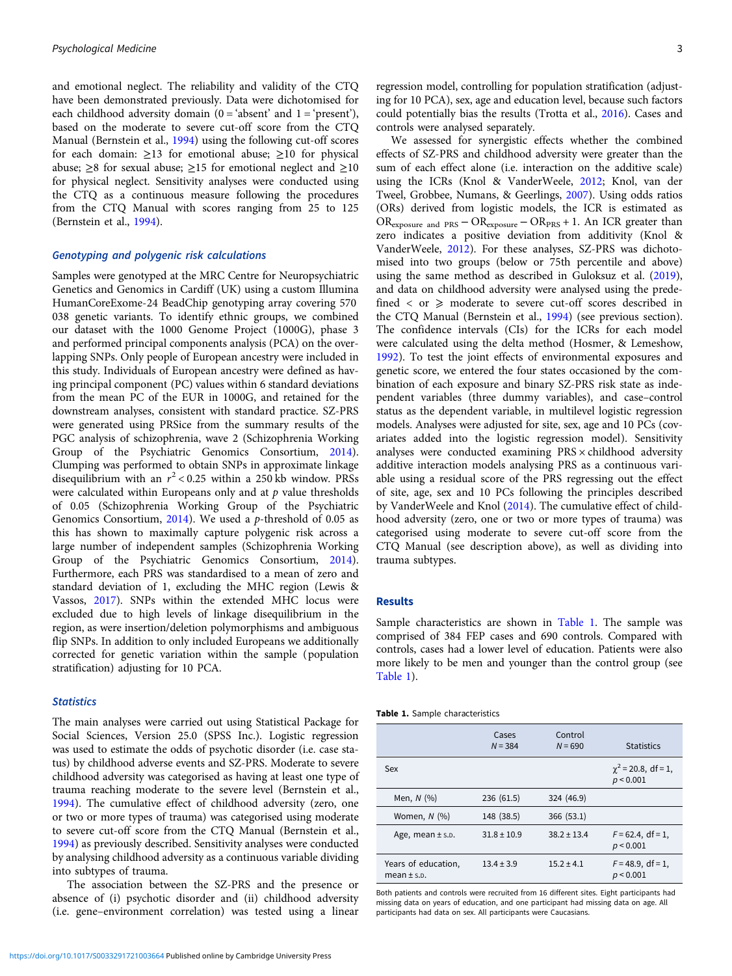and emotional neglect. The reliability and validity of the CTQ have been demonstrated previously. Data were dichotomised for each childhood adversity domain  $(0 = 'absent'$  and  $1 = 'present')$ , based on the moderate to severe cut-off score from the CTQ Manual (Bernstein et al., [1994](#page-6-0)) using the following cut-off scores for each domain:  $\geq$ 13 for emotional abuse;  $\geq$ 10 for physical abuse;  $\geq 8$  for sexual abuse;  $\geq 15$  for emotional neglect and  $\geq 10$ for physical neglect. Sensitivity analyses were conducted using the CTQ as a continuous measure following the procedures from the CTQ Manual with scores ranging from 25 to 125 (Bernstein et al., [1994\)](#page-6-0).

# Genotyping and polygenic risk calculations

Samples were genotyped at the MRC Centre for Neuropsychiatric Genetics and Genomics in Cardiff (UK) using a custom Illumina HumanCoreExome-24 BeadChip genotyping array covering 570 038 genetic variants. To identify ethnic groups, we combined our dataset with the 1000 Genome Project (1000G), phase 3 and performed principal components analysis (PCA) on the overlapping SNPs. Only people of European ancestry were included in this study. Individuals of European ancestry were defined as having principal component (PC) values within 6 standard deviations from the mean PC of the EUR in 1000G, and retained for the downstream analyses, consistent with standard practice. SZ-PRS were generated using PRSice from the summary results of the PGC analysis of schizophrenia, wave 2 (Schizophrenia Working Group of the Psychiatric Genomics Consortium, [2014\)](#page-7-0). Clumping was performed to obtain SNPs in approximate linkage disequilibrium with an  $r^2$  < 0.25 within a 250 kb window. PRSs were calculated within Europeans only and at  $p$  value thresholds of 0.05 (Schizophrenia Working Group of the Psychiatric Genomics Consortium,  $2014$ ). We used a p-threshold of 0.05 as this has shown to maximally capture polygenic risk across a large number of independent samples (Schizophrenia Working Group of the Psychiatric Genomics Consortium, [2014\)](#page-7-0). Furthermore, each PRS was standardised to a mean of zero and standard deviation of 1, excluding the MHC region (Lewis & Vassos, [2017\)](#page-7-0). SNPs within the extended MHC locus were excluded due to high levels of linkage disequilibrium in the region, as were insertion/deletion polymorphisms and ambiguous flip SNPs. In addition to only included Europeans we additionally corrected for genetic variation within the sample (population stratification) adjusting for 10 PCA.

#### **Statistics**

The main analyses were carried out using Statistical Package for Social Sciences, Version 25.0 (SPSS Inc.). Logistic regression was used to estimate the odds of psychotic disorder (i.e. case status) by childhood adverse events and SZ-PRS. Moderate to severe childhood adversity was categorised as having at least one type of trauma reaching moderate to the severe level (Bernstein et al., [1994\)](#page-6-0). The cumulative effect of childhood adversity (zero, one or two or more types of trauma) was categorised using moderate to severe cut-off score from the CTQ Manual (Bernstein et al., [1994\)](#page-6-0) as previously described. Sensitivity analyses were conducted by analysing childhood adversity as a continuous variable dividing into subtypes of trauma.

The association between the SZ-PRS and the presence or absence of (i) psychotic disorder and (ii) childhood adversity (i.e. gene–environment correlation) was tested using a linear regression model, controlling for population stratification (adjusting for 10 PCA), sex, age and education level, because such factors could potentially bias the results (Trotta et al., [2016\)](#page-7-0). Cases and controls were analysed separately.

We assessed for synergistic effects whether the combined effects of SZ-PRS and childhood adversity were greater than the sum of each effect alone (i.e. interaction on the additive scale) using the ICRs (Knol & VanderWeele, [2012](#page-7-0); Knol, van der Tweel, Grobbee, Numans, & Geerlings, [2007\)](#page-7-0). Using odds ratios (ORs) derived from logistic models, the ICR is estimated as ORexposure and PRS − ORexposure − ORPRS + 1. An ICR greater than zero indicates a positive deviation from additivity (Knol & VanderWeele, [2012](#page-7-0)). For these analyses, SZ-PRS was dichotomised into two groups (below or 75th percentile and above) using the same method as described in Guloksuz et al. ([2019](#page-7-0)), and data on childhood adversity were analysed using the predefined  $\langle$  or  $\rangle$  moderate to severe cut-off scores described in the CTQ Manual (Bernstein et al., [1994\)](#page-6-0) (see previous section). The confidence intervals (CIs) for the ICRs for each model were calculated using the delta method (Hosmer, & Lemeshow, [1992](#page-7-0)). To test the joint effects of environmental exposures and genetic score, we entered the four states occasioned by the combination of each exposure and binary SZ-PRS risk state as independent variables (three dummy variables), and case–control status as the dependent variable, in multilevel logistic regression models. Analyses were adjusted for site, sex, age and 10 PCs (covariates added into the logistic regression model). Sensitivity analyses were conducted examining PRS × childhood adversity additive interaction models analysing PRS as a continuous variable using a residual score of the PRS regressing out the effect of site, age, sex and 10 PCs following the principles described by VanderWeele and Knol ([2014](#page-8-0)). The cumulative effect of childhood adversity (zero, one or two or more types of trauma) was categorised using moderate to severe cut-off score from the CTQ Manual (see description above), as well as dividing into trauma subtypes.

# Results

Sample characteristics are shown in Table 1. The sample was comprised of 384 FEP cases and 690 controls. Compared with controls, cases had a lower level of education. Patients were also more likely to be men and younger than the control group (see Table 1).

| Table 1. Sample characteristics |  |
|---------------------------------|--|
|---------------------------------|--|

|                                        | Cases<br>$N = 384$ | Control<br>$N = 690$ | <b>Statistics</b>                       |
|----------------------------------------|--------------------|----------------------|-----------------------------------------|
| Sex                                    |                    |                      | $\gamma^2$ = 20.8, df = 1,<br>p < 0.001 |
| Men, $N$ $(\%)$                        | 236 (61.5)         | 324 (46.9)           |                                         |
| Women, $N$ $(\%)$                      | 148 (38.5)         | 366(53.1)            |                                         |
| Age, mean $\pm$ s.p.                   | $31.8 \pm 10.9$    | $38.2 \pm 13.4$      | $F = 62.4$ , df = 1.<br>p < 0.001       |
| Years of education,<br>mean $\pm$ s.p. | $13.4 \pm 3.9$     | $15.2 \pm 4.1$       | $F = 48.9$ , df = 1,<br>p < 0.001       |

Both patients and controls were recruited from 16 different sites. Eight participants had missing data on years of education, and one participant had missing data on age. All participants had data on sex. All participants were Caucasians.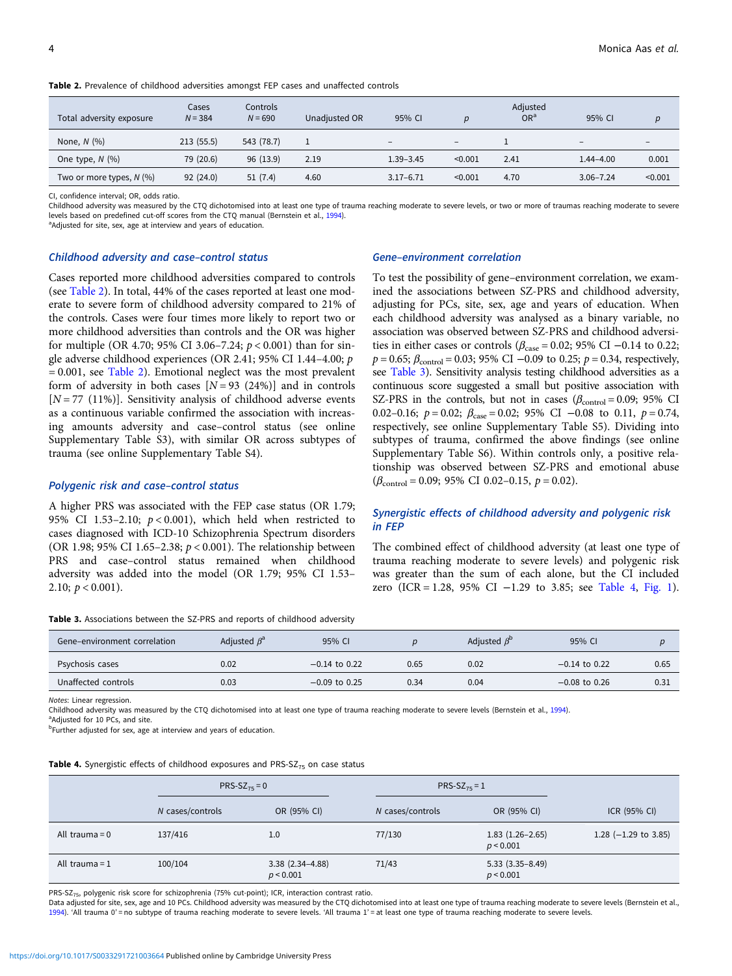| Total adversity exposure   | Cases<br>$N = 384$ | Controls<br>$N = 690$ | Unadjusted OR | 95% CI            | $\boldsymbol{p}$  | Adjusted<br>OR <sup>a</sup> | 95% CI        | $\boldsymbol{D}$         |
|----------------------------|--------------------|-----------------------|---------------|-------------------|-------------------|-----------------------------|---------------|--------------------------|
| None, $N$ $(\%)$           | 213(55.5)          | 543 (78.7)            |               | $\qquad \qquad -$ | $\qquad \qquad -$ |                             | $\sim$        | $\overline{\phantom{0}}$ |
| One type, $N$ $(\%)$       | 79 (20.6)          | 96 (13.9)             | 2.19          | $1.39 - 3.45$     | < 0.001           | 2.41                        | $1.44 - 4.00$ | 0.001                    |
| Two or more types, $N$ (%) | 92(24.0)           | 51(7.4)               | 4.60          | $3.17 - 6.71$     | < 0.001           | 4.70                        | $3.06 - 7.24$ | < 0.001                  |

Table 2. Prevalence of childhood adversities amongst FEP cases and unaffected controls

CI, confidence interval; OR, odds ratio.

Childhood adversity was measured by the CTQ dichotomised into at least one type of trauma reaching moderate to severe levels, or two or more of traumas reaching moderate to severe levels based on predefined cut-off scores from the CTO manual (Bernstein et al., [1994](#page-6-0)).

<sup>a</sup>Adjusted for site, sex, age at interview and years of education.

#### Childhood adversity and case–control status

Cases reported more childhood adversities compared to controls (see Table 2). In total, 44% of the cases reported at least one moderate to severe form of childhood adversity compared to 21% of the controls. Cases were four times more likely to report two or more childhood adversities than controls and the OR was higher for multiple (OR 4.70; 95% CI 3.06-7.24;  $p < 0.001$ ) than for single adverse childhood experiences (OR 2.41; 95% CI 1.44–4.00; p  $= 0.001$ , see Table 2). Emotional neglect was the most prevalent form of adversity in both cases  $[N = 93 (24%)]$  and in controls  $[N = 77 (11%)]$ . Sensitivity analysis of childhood adverse events as a continuous variable confirmed the association with increasing amounts adversity and case–control status (see online Supplementary Table S3), with similar OR across subtypes of trauma (see online Supplementary Table S4).

### Polygenic risk and case–control status

A higher PRS was associated with the FEP case status (OR 1.79; 95% CI 1.53-2.10;  $p < 0.001$ ), which held when restricted to cases diagnosed with ICD-10 Schizophrenia Spectrum disorders (OR 1.98; 95% CI 1.65-2.38;  $p < 0.001$ ). The relationship between PRS and case–control status remained when childhood adversity was added into the model (OR 1.79; 95% CI 1.53– 2.10;  $p < 0.001$ ).

Table 3. Associations between the SZ-PRS and reports of childhood adversity

#### Gene–environment correlation

To test the possibility of gene–environment correlation, we examined the associations between SZ-PRS and childhood adversity, adjusting for PCs, site, sex, age and years of education. When each childhood adversity was analysed as a binary variable, no association was observed between SZ-PRS and childhood adversities in either cases or controls ( $β<sub>case</sub> = 0.02$ ; 95% CI −0.14 to 0.22;  $p = 0.65$ ;  $\beta_{\text{control}} = 0.03$ ; 95% CI -0.09 to 0.25;  $p = 0.34$ , respectively, see Table 3). Sensitivity analysis testing childhood adversities as a continuous score suggested a small but positive association with SZ-PRS in the controls, but not in cases  $(\beta_{\text{control}} = 0.09; 95\% \text{ CI})$ 0.02–0.16;  $p = 0.02$ ;  $\beta_{\text{case}} = 0.02$ ; 95% CI -0.08 to 0.11,  $p = 0.74$ , respectively, see online Supplementary Table S5). Dividing into subtypes of trauma, confirmed the above findings (see online Supplementary Table S6). Within controls only, a positive relationship was observed between SZ-PRS and emotional abuse  $(\beta_{\text{control}} = 0.09; 95\% \text{ CI } 0.02-0.15, p = 0.02).$ 

# Synergistic effects of childhood adversity and polygenic risk in FEP

The combined effect of childhood adversity (at least one type of trauma reaching moderate to severe levels) and polygenic risk was greater than the sum of each alone, but the CI included zero (ICR = 1.28, 95% CI −1.29 to 3.85; see Table 4, [Fig. 1](#page-4-0)).

| Gene-environment correlation | Adjusted $\beta^a$ | 95% CI          |      | Adjusted $\beta^{\rm D}$ | 95% CI          |      |
|------------------------------|--------------------|-----------------|------|--------------------------|-----------------|------|
| Psychosis cases              | 0.02               | $-0.14$ to 0.22 | 0.65 | 0.02                     | $-0.14$ to 0.22 | 0.65 |
| Unaffected controls          | 0.03               | $-0.09$ to 0.25 | 0.34 | 0.04                     | $-0.08$ to 0.26 | 0.31 |

Notes: Linear regression.

Childhood adversity was measured by the CTQ dichotomised into at least one type of trauma reaching moderate to severe levels (Bernstein et al., [1994\)](#page-6-0).

<sup>a</sup>Adjusted for 10 PCs, and site.

<sup>b</sup>Further adjusted for sex, age at interview and years of education.

**Table 4.** Synergistic effects of childhood exposures and PRS-SZ $_{75}$  on case status

|                  | $PRS-SZ_{75} = 0$ |                                  | $PRS-SZ_{75} = 1$ |                                  |                        |
|------------------|-------------------|----------------------------------|-------------------|----------------------------------|------------------------|
|                  | N cases/controls  | OR (95% CI)                      | N cases/controls  | OR (95% CI)                      | ICR (95% CI)           |
| All trauma = $0$ | 137/416           | 1.0                              | 77/130            | $1.83(1.26-2.65)$<br>p < 0.001   | 1.28 $(-1.29$ to 3.85) |
| All trauma = $1$ | 100/104           | $3.38(2.34 - 4.88)$<br>p < 0.001 | 71/43             | $5.33(3.35 - 8.49)$<br>p < 0.001 |                        |

PRS-SZ<sub>75</sub>, polygenic risk score for schizophrenia (75% cut-point); ICR, interaction contrast ratio.

Data adjusted for site, sex, age and 10 PCs. Childhood adversity was measured by the CTQ dichotomised into at least one type of trauma reaching moderate to severe levels (Bernstein et al., [1994](#page-6-0)). 'All trauma 0' = no subtype of trauma reaching moderate to severe levels. 'All trauma 1' = at least one type of trauma reaching moderate to severe levels.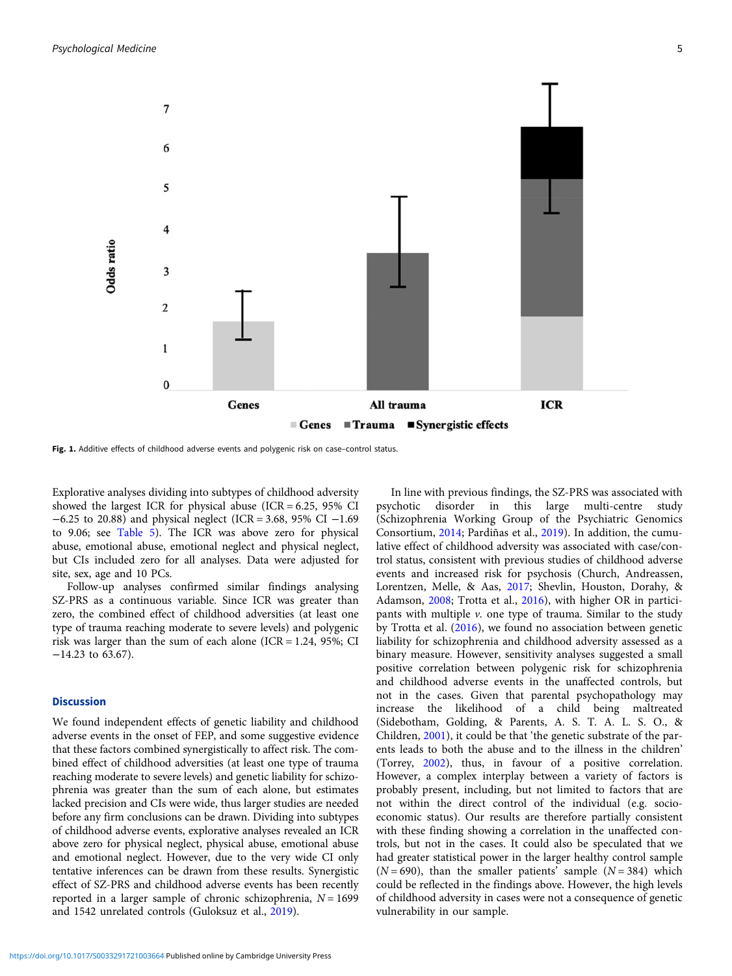<span id="page-4-0"></span>

Fig. 1. Additive effects of childhood adverse events and polygenic risk on case-control status.

Explorative analyses dividing into subtypes of childhood adversity showed the largest ICR for physical abuse (ICR =  $6.25$ ,  $95\%$  CI −6.25 to 20.88) and physical neglect (ICR = 3.68, 95% CI −1.69 to 9.06; see [Table 5](#page-5-0)). The ICR was above zero for physical abuse, emotional abuse, emotional neglect and physical neglect, but CIs included zero for all analyses. Data were adjusted for site, sex, age and 10 PCs.

Follow-up analyses confirmed similar findings analysing SZ-PRS as a continuous variable. Since ICR was greater than zero, the combined effect of childhood adversities (at least one type of trauma reaching moderate to severe levels) and polygenic risk was larger than the sum of each alone (ICR =  $1.24$ ,  $95\%$ ; CI −14.23 to 63.67).

#### **Discussion**

We found independent effects of genetic liability and childhood adverse events in the onset of FEP, and some suggestive evidence that these factors combined synergistically to affect risk. The combined effect of childhood adversities (at least one type of trauma reaching moderate to severe levels) and genetic liability for schizophrenia was greater than the sum of each alone, but estimates lacked precision and CIs were wide, thus larger studies are needed before any firm conclusions can be drawn. Dividing into subtypes of childhood adverse events, explorative analyses revealed an ICR above zero for physical neglect, physical abuse, emotional abuse and emotional neglect. However, due to the very wide CI only tentative inferences can be drawn from these results. Synergistic effect of SZ-PRS and childhood adverse events has been recently reported in a larger sample of chronic schizophrenia,  $N = 1699$ and 1542 unrelated controls (Guloksuz et al., [2019](#page-7-0)).

psychotic disorder in this large multi-centre study (Schizophrenia Working Group of the Psychiatric Genomics Consortium, [2014;](#page-7-0) Pardiñas et al., [2019\)](#page-7-0). In addition, the cumulative effect of childhood adversity was associated with case/control status, consistent with previous studies of childhood adverse events and increased risk for psychosis (Church, Andreassen, Lorentzen, Melle, & Aas, [2017](#page-6-0); Shevlin, Houston, Dorahy, & Adamson, [2008](#page-7-0); Trotta et al., [2016\)](#page-7-0), with higher OR in participants with multiple  $\nu$ . one type of trauma. Similar to the study by Trotta et al. [\(2016\)](#page-7-0), we found no association between genetic liability for schizophrenia and childhood adversity assessed as a binary measure. However, sensitivity analyses suggested a small positive correlation between polygenic risk for schizophrenia and childhood adverse events in the unaffected controls, but not in the cases. Given that parental psychopathology may increase the likelihood of a child being maltreated (Sidebotham, Golding, & Parents, A. S. T. A. L. S. O., & Children, [2001](#page-7-0)), it could be that 'the genetic substrate of the parents leads to both the abuse and to the illness in the children' (Torrey, [2002\)](#page-7-0), thus, in favour of a positive correlation. However, a complex interplay between a variety of factors is probably present, including, but not limited to factors that are not within the direct control of the individual (e.g. socioeconomic status). Our results are therefore partially consistent with these finding showing a correlation in the unaffected controls, but not in the cases. It could also be speculated that we had greater statistical power in the larger healthy control sample  $(N = 690)$ , than the smaller patients' sample  $(N = 384)$  which could be reflected in the findings above. However, the high levels of childhood adversity in cases were not a consequence of genetic vulnerability in our sample.

In line with previous findings, the SZ-PRS was associated with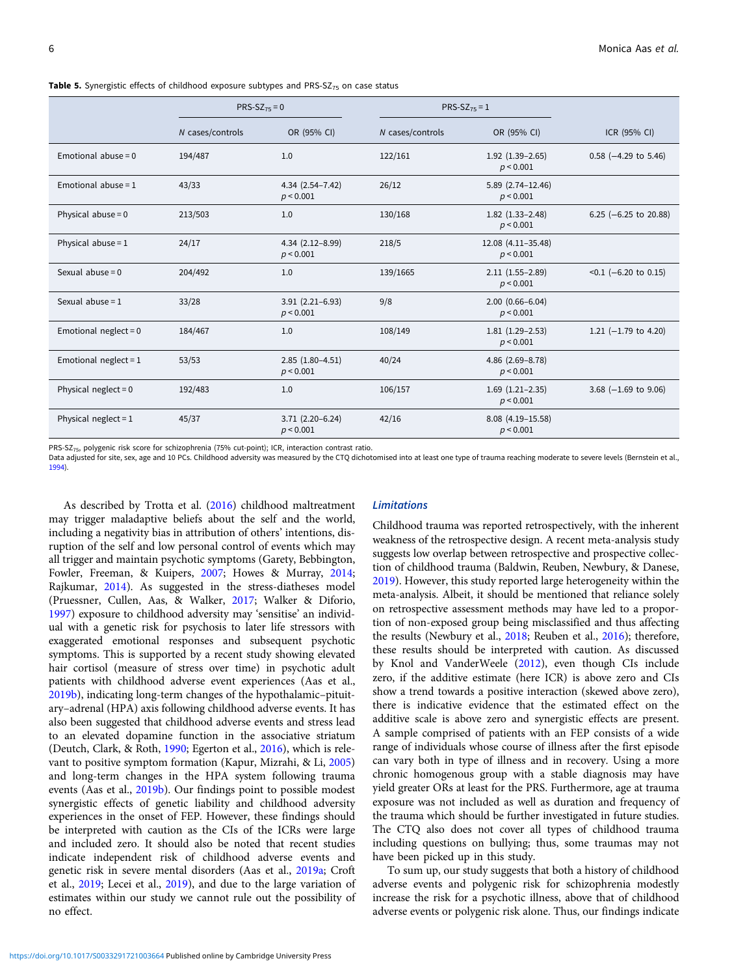<span id="page-5-0"></span>**Table 5.** Synergistic effects of childhood exposure subtypes and PRS-SZ $\tau$ <sub>5</sub> on case status

|                         | $PRS-SZ_{75} = 0$ |                                  |                  | PRS-SZ <sub>75</sub> $=$ 1          |                          |
|-------------------------|-------------------|----------------------------------|------------------|-------------------------------------|--------------------------|
|                         | N cases/controls  | OR (95% CI)                      | N cases/controls | OR (95% CI)                         | ICR (95% CI)             |
| Emotional abuse = $0$   | 194/487           | 1.0                              | 122/161          | $1.92$ $(1.39-2.65)$<br>p < 0.001   | $0.58$ (-4.29 to 5.46)   |
| Emotional abuse = $1$   | 43/33             | $4.34(2.54 - 7.42)$<br>p < 0.001 | 26/12            | 5.89 (2.74-12.46)<br>p < 0.001      |                          |
| Physical abuse = $0$    | 213/503           | 1.0                              | 130/168          | $1.82$ $(1.33 - 2.48)$<br>p < 0.001 | 6.25 ( $-6.25$ to 20.88) |
| Physical abuse = $1$    | 24/17             | $4.34(2.12-8.99)$<br>p < 0.001   | 218/5            | 12.08 (4.11-35.48)<br>p < 0.001     |                          |
| Sexual abuse = $0$      | 204/492           | 1.0                              | 139/1665         | $2.11(1.55-2.89)$<br>p < 0.001      | $<0.1$ (-6.20 to 0.15)   |
| Sexual abuse = $1$      | 33/28             | $3.91(2.21 - 6.93)$<br>p < 0.001 | 9/8              | $2.00(0.66 - 6.04)$<br>p < 0.001    |                          |
| Emotional neglect = $0$ | 184/467           | 1.0                              | 108/149          | $1.81(1.29-2.53)$<br>p < 0.001      | 1.21 $(-1.79$ to 4.20)   |
| Emotional neglect = $1$ | 53/53             | $2.85(1.80-4.51)$<br>p < 0.001   | 40/24            | $4.86$ $(2.69 - 8.78)$<br>p < 0.001 |                          |
| Physical neglect = $0$  | 192/483           | 1.0                              | 106/157          | $1.69$ $(1.21-2.35)$<br>p < 0.001   | 3.68 $(-1.69$ to 9.06)   |
| Physical neglect = $1$  | 45/37             | $3.71(2.20-6.24)$<br>p < 0.001   | 42/16            | 8.08 (4.19-15.58)<br>p < 0.001      |                          |

PRS-SZ<sub>75</sub>, polygenic risk score for schizophrenia (75% cut-point); ICR, interaction contrast ratio.

Data adjusted for site, sex, age and 10 PCs. Childhood adversity was measured by the CTQ dichotomised into at least one type of trauma reaching moderate to severe levels (Bernstein et al., [1994](#page-6-0)).

As described by Trotta et al. [\(2016](#page-7-0)) childhood maltreatment may trigger maladaptive beliefs about the self and the world, including a negativity bias in attribution of others' intentions, disruption of the self and low personal control of events which may all trigger and maintain psychotic symptoms (Garety, Bebbington, Fowler, Freeman, & Kuipers, [2007;](#page-7-0) Howes & Murray, [2014](#page-7-0); Rajkumar, [2014\)](#page-7-0). As suggested in the stress-diatheses model (Pruessner, Cullen, Aas, & Walker, [2017](#page-7-0); Walker & Diforio, [1997\)](#page-8-0) exposure to childhood adversity may 'sensitise' an individual with a genetic risk for psychosis to later life stressors with exaggerated emotional responses and subsequent psychotic symptoms. This is supported by a recent study showing elevated hair cortisol (measure of stress over time) in psychotic adult patients with childhood adverse event experiences (Aas et al., [2019b\)](#page-6-0), indicating long-term changes of the hypothalamic–pituitary–adrenal (HPA) axis following childhood adverse events. It has also been suggested that childhood adverse events and stress lead to an elevated dopamine function in the associative striatum (Deutch, Clark, & Roth, [1990;](#page-6-0) Egerton et al., [2016](#page-7-0)), which is relevant to positive symptom formation (Kapur, Mizrahi, & Li, [2005\)](#page-7-0) and long-term changes in the HPA system following trauma events (Aas et al., [2019b\)](#page-6-0). Our findings point to possible modest synergistic effects of genetic liability and childhood adversity experiences in the onset of FEP. However, these findings should be interpreted with caution as the CIs of the ICRs were large and included zero. It should also be noted that recent studies indicate independent risk of childhood adverse events and genetic risk in severe mental disorders (Aas et al., [2019a](#page-6-0); Croft et al., [2019](#page-6-0); Lecei et al., [2019\)](#page-7-0), and due to the large variation of estimates within our study we cannot rule out the possibility of no effect.

# Limitations

Childhood trauma was reported retrospectively, with the inherent weakness of the retrospective design. A recent meta-analysis study suggests low overlap between retrospective and prospective collection of childhood trauma (Baldwin, Reuben, Newbury, & Danese, [2019\)](#page-6-0). However, this study reported large heterogeneity within the meta-analysis. Albeit, it should be mentioned that reliance solely on retrospective assessment methods may have led to a proportion of non-exposed group being misclassified and thus affecting the results (Newbury et al., [2018](#page-7-0); Reuben et al., [2016](#page-7-0)); therefore, these results should be interpreted with caution. As discussed by Knol and VanderWeele [\(2012](#page-7-0)), even though CIs include zero, if the additive estimate (here ICR) is above zero and CIs show a trend towards a positive interaction (skewed above zero), there is indicative evidence that the estimated effect on the additive scale is above zero and synergistic effects are present. A sample comprised of patients with an FEP consists of a wide range of individuals whose course of illness after the first episode can vary both in type of illness and in recovery. Using a more chronic homogenous group with a stable diagnosis may have yield greater ORs at least for the PRS. Furthermore, age at trauma exposure was not included as well as duration and frequency of the trauma which should be further investigated in future studies. The CTQ also does not cover all types of childhood trauma including questions on bullying; thus, some traumas may not have been picked up in this study.

To sum up, our study suggests that both a history of childhood adverse events and polygenic risk for schizophrenia modestly increase the risk for a psychotic illness, above that of childhood adverse events or polygenic risk alone. Thus, our findings indicate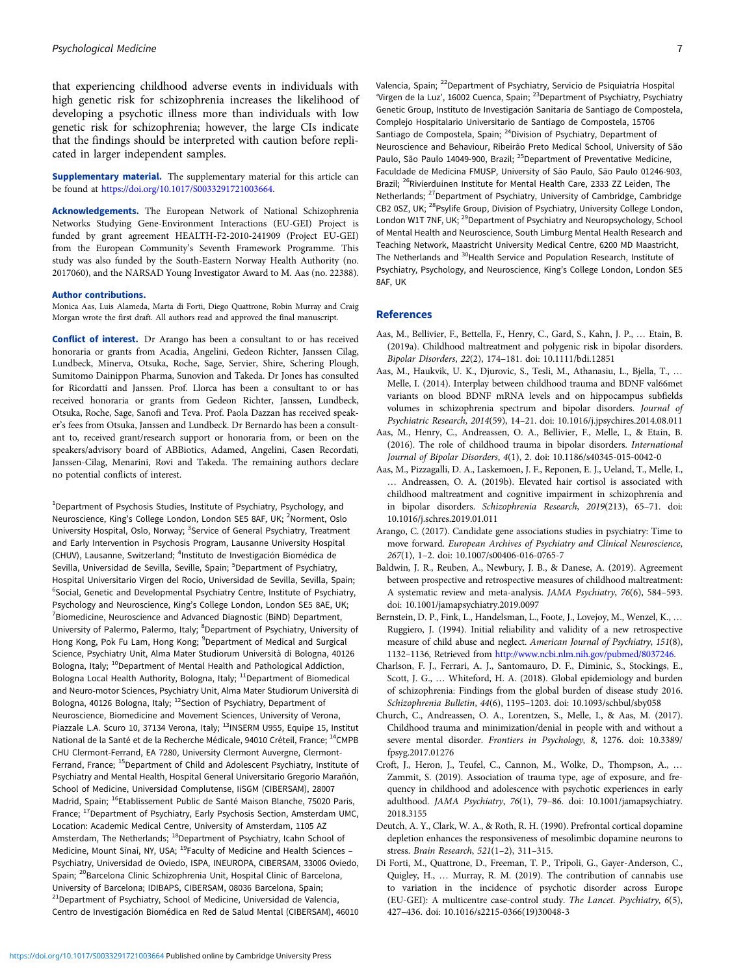<span id="page-6-0"></span>that experiencing childhood adverse events in individuals with high genetic risk for schizophrenia increases the likelihood of developing a psychotic illness more than individuals with low genetic risk for schizophrenia; however, the large CIs indicate that the findings should be interpreted with caution before replicated in larger independent samples.

**Supplementary material.** The supplementary material for this article can be found at [https://doi.org/10.1017/S0033291721003664.](https://doi.org/10.1017/S0033291721003664)

Acknowledgements. The European Network of National Schizophrenia Networks Studying Gene-Environment Interactions (EU-GEI) Project is funded by grant agreement HEALTH-F2-2010-241909 (Project EU-GEI) from the European Community's Seventh Framework Programme. This study was also funded by the South-Eastern Norway Health Authority (no. 2017060), and the NARSAD Young Investigator Award to M. Aas (no. 22388).

#### Author contributions.

Monica Aas, Luis Alameda, Marta di Forti, Diego Quattrone, Robin Murray and Craig Morgan wrote the first draft. All authors read and approved the final manuscript.

Conflict of interest. Dr Arango has been a consultant to or has received honoraria or grants from Acadia, Angelini, Gedeon Richter, Janssen Cilag, Lundbeck, Minerva, Otsuka, Roche, Sage, Servier, Shire, Schering Plough, Sumitomo Dainippon Pharma, Sunovion and Takeda. Dr Jones has consulted for Ricordatti and Janssen. Prof. Llorca has been a consultant to or has received honoraria or grants from Gedeon Richter, Janssen, Lundbeck, Otsuka, Roche, Sage, Sanofi and Teva. Prof. Paola Dazzan has received speaker's fees from Otsuka, Janssen and Lundbeck. Dr Bernardo has been a consultant to, received grant/research support or honoraria from, or been on the speakers/advisory board of ABBiotics, Adamed, Angelini, Casen Recordati, Janssen-Cilag, Menarini, Rovi and Takeda. The remaining authors declare no potential conflicts of interest.

<sup>1</sup>Department of Psychosis Studies, Institute of Psychiatry, Psychology, and Neuroscience, King's College London, London SE5 8AF, UK; <sup>2</sup>Norment, Oslo University Hospital, Oslo, Norway; <sup>3</sup>Service of General Psychiatry, Treatment and Early Intervention in Psychosis Program, Lausanne University Hospital (CHUV), Lausanne, Switzerland; <sup>4</sup>Instituto de Investigación Biomédica de Sevilla, Universidad de Sevilla, Seville, Spain; <sup>5</sup>Department of Psychiatry, Hospital Universitario Virgen del Rocío, Universidad de Sevilla, Sevilla, Spain; <sup>6</sup>Social, Genetic and Developmental Psychiatry Centre, Institute of Psychiatry, Psychology and Neuroscience, King's College London, London SE5 8AE, UK; <sup>7</sup> Biomedicine, Neuroscience and Advanced Diagnostic (BiND) Department, University of Palermo, Palermo, Italy; <sup>8</sup>Department of Psychiatry, University of Hong Kong, Pok Fu Lam, Hong Kong; <sup>9</sup>Department of Medical and Surgical Science, Psychiatry Unit, Alma Mater Studiorum Università di Bologna, 40126 Bologna, Italy; 10Department of Mental Health and Pathological Addiction, Bologna Local Health Authority, Bologna, Italy; <sup>11</sup>Department of Biomedical and Neuro-motor Sciences, Psychiatry Unit, Alma Mater Studiorum Università di Bologna, 40126 Bologna, Italy; <sup>12</sup>Section of Psychiatry, Department of Neuroscience, Biomedicine and Movement Sciences, University of Verona, Piazzale L.A. Scuro 10, 37134 Verona, Italy; <sup>13</sup>INSERM U955, Equipe 15, Institut National de la Santé et de la Recherche Médicale, 94010 Créteil, France; <sup>14</sup>CMPB CHU Clermont-Ferrand, EA 7280, University Clermont Auvergne, Clermont-Ferrand, France; <sup>15</sup>Department of Child and Adolescent Psychiatry, Institute of Psychiatry and Mental Health, Hospital General Universitario Gregorio Marañón, School of Medicine, Universidad Complutense, IiSGM (CIBERSAM), 28007 Madrid, Spain; 16Etablissement Public de Santé Maison Blanche, 75020 Paris, France; <sup>17</sup>Department of Psychiatry, Early Psychosis Section, Amsterdam UMC, Location: Academic Medical Centre, University of Amsterdam, 1105 AZ Amsterdam, The Netherlands; 18Department of Psychiatry, Icahn School of Medicine, Mount Sinai, NY, USA; <sup>19</sup>Faculty of Medicine and Health Sciences -Psychiatry, Universidad de Oviedo, ISPA, INEUROPA, CIBERSAM, 33006 Oviedo, Spain; <sup>20</sup>Barcelona Clinic Schizophrenia Unit, Hospital Clinic of Barcelona, University of Barcelona; IDIBAPS, CIBERSAM, 08036 Barcelona, Spain;  $21$ Department of Psychiatry, School of Medicine, Universidad de Valencia, Centro de Investigación Biomédica en Red de Salud Mental (CIBERSAM), 46010 Valencia, Spain; 22Department of Psychiatry, Servicio de Psiquiatría Hospital 'Virgen de la Luz', 16002 Cuenca, Spain; <sup>23</sup>Department of Psychiatry, Psychiatry Genetic Group, Instituto de Investigación Sanitaria de Santiago de Compostela, Complejo Hospitalario Universitario de Santiago de Compostela, 15706 Santiago de Compostela, Spain; 24Division of Psychiatry, Department of Neuroscience and Behaviour, Ribeirão Preto Medical School, University of São Paulo, São Paulo 14049-900, Brazil; <sup>25</sup>Department of Preventative Medicine, Faculdade de Medicina FMUSP, University of São Paulo, São Paulo 01246-903, Brazil; <sup>26</sup>Rivierduinen Institute for Mental Health Care, 2333 ZZ Leiden, The Netherlands; <sup>27</sup>Department of Psychiatry, University of Cambridge, Cambridge CB2 0SZ, UK; 28Psylife Group, Division of Psychiatry, University College London, London W1T 7NF, UK; <sup>29</sup>Department of Psychiatry and Neuropsychology, School of Mental Health and Neuroscience, South Limburg Mental Health Research and Teaching Network, Maastricht University Medical Centre, 6200 MD Maastricht, The Netherlands and <sup>30</sup>Health Service and Population Research, Institute of Psychiatry, Psychology, and Neuroscience, King's College London, London SE5 8AF, UK

#### References

- Aas, M., Bellivier, F., Bettella, F., Henry, C., Gard, S., Kahn, J. P., … Etain, B. (2019a). Childhood maltreatment and polygenic risk in bipolar disorders. Bipolar Disorders, 22(2), 174–181. doi: 10.1111/bdi.12851
- Aas, M., Haukvik, U. K., Djurovic, S., Tesli, M., Athanasiu, L., Bjella, T., … Melle, I. (2014). Interplay between childhood trauma and BDNF val66met variants on blood BDNF mRNA levels and on hippocampus subfields volumes in schizophrenia spectrum and bipolar disorders. Journal of Psychiatric Research, 2014(59), 14–21. doi: 10.1016/j.jpsychires.2014.08.011
- Aas, M., Henry, C., Andreassen, O. A., Bellivier, F., Melle, I., & Etain, B. (2016). The role of childhood trauma in bipolar disorders. International Journal of Bipolar Disorders, 4(1), 2. doi: 10.1186/s40345-015-0042-0
- Aas, M., Pizzagalli, D. A., Laskemoen, J. F., Reponen, E. J., Ueland, T., Melle, I., … Andreassen, O. A. (2019b). Elevated hair cortisol is associated with childhood maltreatment and cognitive impairment in schizophrenia and in bipolar disorders. Schizophrenia Research, 2019(213), 65–71. doi: 10.1016/j.schres.2019.01.011
- Arango, C. (2017). Candidate gene associations studies in psychiatry: Time to move forward. European Archives of Psychiatry and Clinical Neuroscience, 267(1), 1–2. doi: 10.1007/s00406-016-0765-7
- Baldwin, J. R., Reuben, A., Newbury, J. B., & Danese, A. (2019). Agreement between prospective and retrospective measures of childhood maltreatment: A systematic review and meta-analysis. JAMA Psychiatry, 76(6), 584–593. doi: 10.1001/jamapsychiatry.2019.0097
- Bernstein, D. P., Fink, L., Handelsman, L., Foote, J., Lovejoy, M., Wenzel, K., … Ruggiero, J. (1994). Initial reliability and validity of a new retrospective measure of child abuse and neglect. American Journal of Psychiatry, 151(8), 1132–1136, Retrieved from <http://www.ncbi.nlm.nih.gov/pubmed/8037246>.
- Charlson, F. J., Ferrari, A. J., Santomauro, D. F., Diminic, S., Stockings, E., Scott, J. G., … Whiteford, H. A. (2018). Global epidemiology and burden of schizophrenia: Findings from the global burden of disease study 2016. Schizophrenia Bulletin, 44(6), 1195–1203. doi: 10.1093/schbul/sby058
- Church, C., Andreassen, O. A., Lorentzen, S., Melle, I., & Aas, M. (2017). Childhood trauma and minimization/denial in people with and without a severe mental disorder. Frontiers in Psychology, 8, 1276. doi: 10.3389/ fpsyg.2017.01276
- Croft, J., Heron, J., Teufel, C., Cannon, M., Wolke, D., Thompson, A., … Zammit, S. (2019). Association of trauma type, age of exposure, and frequency in childhood and adolescence with psychotic experiences in early adulthood. JAMA Psychiatry, 76(1), 79–86. doi: 10.1001/jamapsychiatry. 2018.3155
- Deutch, A. Y., Clark, W. A., & Roth, R. H. (1990). Prefrontal cortical dopamine depletion enhances the responsiveness of mesolimbic dopamine neurons to stress. Brain Research, 521(1–2), 311–315.
- Di Forti, M., Quattrone, D., Freeman, T. P., Tripoli, G., Gayer-Anderson, C., Quigley, H., … Murray, R. M. (2019). The contribution of cannabis use to variation in the incidence of psychotic disorder across Europe (EU-GEI): A multicentre case-control study. The Lancet. Psychiatry, 6(5), 427–436. doi: 10.1016/s2215-0366(19)30048-3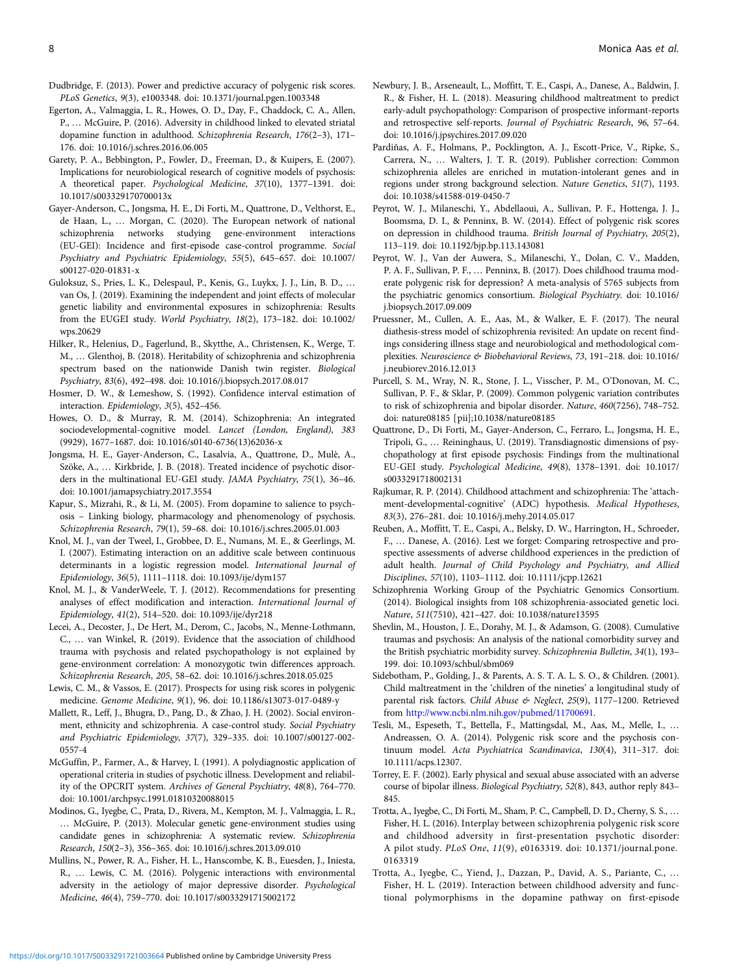- <span id="page-7-0"></span>Dudbridge, F. (2013). Power and predictive accuracy of polygenic risk scores. PLoS Genetics, 9(3), e1003348. doi: 10.1371/journal.pgen.1003348
- Egerton, A., Valmaggia, L. R., Howes, O. D., Day, F., Chaddock, C. A., Allen, P., … McGuire, P. (2016). Adversity in childhood linked to elevated striatal dopamine function in adulthood. Schizophrenia Research, 176(2–3), 171– 176. doi: 10.1016/j.schres.2016.06.005
- Garety, P. A., Bebbington, P., Fowler, D., Freeman, D., & Kuipers, E. (2007). Implications for neurobiological research of cognitive models of psychosis: A theoretical paper. Psychological Medicine, 37(10), 1377–1391. doi: 10.1017/s003329170700013x
- Gayer-Anderson, C., Jongsma, H. E., Di Forti, M., Quattrone, D., Velthorst, E., de Haan, L., … Morgan, C. (2020). The European network of national schizophrenia networks studying gene-environment interactions (EU-GEI): Incidence and first-episode case-control programme. Social Psychiatry and Psychiatric Epidemiology, 55(5), 645–657. doi: 10.1007/ s00127-020-01831-x
- Guloksuz, S., Pries, L. K., Delespaul, P., Kenis, G., Luykx, J. J., Lin, B. D., … van Os, J. (2019). Examining the independent and joint effects of molecular genetic liability and environmental exposures in schizophrenia: Results from the EUGEI study. World Psychiatry, 18(2), 173–182. doi: 10.1002/ wps.20629
- Hilker, R., Helenius, D., Fagerlund, B., Skytthe, A., Christensen, K., Werge, T. M., … Glenthoj, B. (2018). Heritability of schizophrenia and schizophrenia spectrum based on the nationwide Danish twin register. Biological Psychiatry, 83(6), 492–498. doi: 10.1016/j.biopsych.2017.08.017
- Hosmer, D. W., & Lemeshow, S. (1992). Confidence interval estimation of interaction. Epidemiology, 3(5), 452–456.
- Howes, O. D., & Murray, R. M. (2014). Schizophrenia: An integrated sociodevelopmental-cognitive model. Lancet (London, England), 383 (9929), 1677–1687. doi: 10.1016/s0140-6736(13)62036-x
- Jongsma, H. E., Gayer-Anderson, C., Lasalvia, A., Quattrone, D., Mulè, A., Szöke, A., … Kirkbride, J. B. (2018). Treated incidence of psychotic disorders in the multinational EU-GEI study. JAMA Psychiatry, 75(1), 36–46. doi: 10.1001/jamapsychiatry.2017.3554
- Kapur, S., Mizrahi, R., & Li, M. (2005). From dopamine to salience to psychosis – Linking biology, pharmacology and phenomenology of psychosis. Schizophrenia Research, 79(1), 59–68. doi: 10.1016/j.schres.2005.01.003
- Knol, M. J., van der Tweel, I., Grobbee, D. E., Numans, M. E., & Geerlings, M. I. (2007). Estimating interaction on an additive scale between continuous determinants in a logistic regression model. International Journal of Epidemiology, 36(5), 1111–1118. doi: 10.1093/ije/dym157
- Knol, M. J., & VanderWeele, T. J. (2012). Recommendations for presenting analyses of effect modification and interaction. International Journal of Epidemiology, 41(2), 514–520. doi: 10.1093/ije/dyr218
- Lecei, A., Decoster, J., De Hert, M., Derom, C., Jacobs, N., Menne-Lothmann, C., … van Winkel, R. (2019). Evidence that the association of childhood trauma with psychosis and related psychopathology is not explained by gene-environment correlation: A monozygotic twin differences approach. Schizophrenia Research, 205, 58–62. doi: 10.1016/j.schres.2018.05.025
- Lewis, C. M., & Vassos, E. (2017). Prospects for using risk scores in polygenic medicine. Genome Medicine, 9(1), 96. doi: 10.1186/s13073-017-0489-y
- Mallett, R., Leff, J., Bhugra, D., Pang, D., & Zhao, J. H. (2002). Social environment, ethnicity and schizophrenia. A case-control study. Social Psychiatry and Psychiatric Epidemiology, 37(7), 329–335. doi: 10.1007/s00127-002- 0557-4
- McGuffin, P., Farmer, A., & Harvey, I. (1991). A polydiagnostic application of operational criteria in studies of psychotic illness. Development and reliability of the OPCRIT system. Archives of General Psychiatry, 48(8), 764–770. doi: 10.1001/archpsyc.1991.01810320088015
- Modinos, G., Iyegbe, C., Prata, D., Rivera, M., Kempton, M. J., Valmaggia, L. R., … McGuire, P. (2013). Molecular genetic gene-environment studies using candidate genes in schizophrenia: A systematic review. Schizophrenia Research, 150(2–3), 356–365. doi: 10.1016/j.schres.2013.09.010
- Mullins, N., Power, R. A., Fisher, H. L., Hanscombe, K. B., Euesden, J., Iniesta, R., … Lewis, C. M. (2016). Polygenic interactions with environmental adversity in the aetiology of major depressive disorder. Psychological Medicine, 46(4), 759–770. doi: 10.1017/s0033291715002172
- Newbury, J. B., Arseneault, L., Moffitt, T. E., Caspi, A., Danese, A., Baldwin, J. R., & Fisher, H. L. (2018). Measuring childhood maltreatment to predict early-adult psychopathology: Comparison of prospective informant-reports and retrospective self-reports. Journal of Psychiatric Research, 96, 57–64. doi: 10.1016/j.jpsychires.2017.09.020
- Pardiñas, A. F., Holmans, P., Pocklington, A. J., Escott-Price, V., Ripke, S., Carrera, N., … Walters, J. T. R. (2019). Publisher correction: Common schizophrenia alleles are enriched in mutation-intolerant genes and in regions under strong background selection. Nature Genetics, 51(7), 1193. doi: 10.1038/s41588-019-0450-7
- Peyrot, W. J., Milaneschi, Y., Abdellaoui, A., Sullivan, P. F., Hottenga, J. J., Boomsma, D. I., & Penninx, B. W. (2014). Effect of polygenic risk scores on depression in childhood trauma. British Journal of Psychiatry, 205(2), 113–119. doi: 10.1192/bjp.bp.113.143081
- Peyrot, W. J., Van der Auwera, S., Milaneschi, Y., Dolan, C. V., Madden, P. A. F., Sullivan, P. F., … Penninx, B. (2017). Does childhood trauma moderate polygenic risk for depression? A meta-analysis of 5765 subjects from the psychiatric genomics consortium. Biological Psychiatry. doi: 10.1016/ j.biopsych.2017.09.009
- Pruessner, M., Cullen, A. E., Aas, M., & Walker, E. F. (2017). The neural diathesis-stress model of schizophrenia revisited: An update on recent findings considering illness stage and neurobiological and methodological complexities. Neuroscience & Biobehavioral Reviews, 73, 191–218. doi: 10.1016/ j.neubiorev.2016.12.013
- Purcell, S. M., Wray, N. R., Stone, J. L., Visscher, P. M., O'Donovan, M. C., Sullivan, P. F., & Sklar, P. (2009). Common polygenic variation contributes to risk of schizophrenia and bipolar disorder. Nature, 460(7256), 748–752. doi: nature08185 [pii];10.1038/nature08185
- Quattrone, D., Di Forti, M., Gayer-Anderson, C., Ferraro, L., Jongsma, H. E., Tripoli, G., … Reininghaus, U. (2019). Transdiagnostic dimensions of psychopathology at first episode psychosis: Findings from the multinational EU-GEI study. Psychological Medicine, 49(8), 1378–1391. doi: 10.1017/ s0033291718002131
- Rajkumar, R. P. (2014). Childhood attachment and schizophrenia: The 'attachment-developmental-cognitive' (ADC) hypothesis. Medical Hypotheses, 83(3), 276–281. doi: 10.1016/j.mehy.2014.05.017
- Reuben, A., Moffitt, T. E., Caspi, A., Belsky, D. W., Harrington, H., Schroeder, F., … Danese, A. (2016). Lest we forget: Comparing retrospective and prospective assessments of adverse childhood experiences in the prediction of adult health. Journal of Child Psychology and Psychiatry, and Allied Disciplines, 57(10), 1103–1112. doi: 10.1111/jcpp.12621
- Schizophrenia Working Group of the Psychiatric Genomics Consortium. (2014). Biological insights from 108 schizophrenia-associated genetic loci. Nature, 511(7510), 421–427. doi: 10.1038/nature13595
- Shevlin, M., Houston, J. E., Dorahy, M. J., & Adamson, G. (2008). Cumulative traumas and psychosis: An analysis of the national comorbidity survey and the British psychiatric morbidity survey. Schizophrenia Bulletin, 34(1), 193– 199. doi: 10.1093/schbul/sbm069
- Sidebotham, P., Golding, J., & Parents, A. S. T. A. L. S. O., & Children. (2001). Child maltreatment in the 'children of the nineties' a longitudinal study of parental risk factors. Child Abuse & Neglect, 25(9), 1177–1200. Retrieved from <http://www.ncbi.nlm.nih.gov/pubmed/11700691>.
- Tesli, M., Espeseth, T., Bettella, F., Mattingsdal, M., Aas, M., Melle, I., … Andreassen, O. A. (2014). Polygenic risk score and the psychosis continuum model. Acta Psychiatrica Scandinavica, 130(4), 311–317. doi: 10.1111/acps.12307.
- Torrey, E. F. (2002). Early physical and sexual abuse associated with an adverse course of bipolar illness. Biological Psychiatry, 52(8), 843, author reply 843– 845.
- Trotta, A., Iyegbe, C., Di Forti, M., Sham, P. C., Campbell, D. D., Cherny, S. S., … Fisher, H. L. (2016). Interplay between schizophrenia polygenic risk score and childhood adversity in first-presentation psychotic disorder: A pilot study. PLoS One, 11(9), e0163319. doi: 10.1371/journal.pone. 0163319
- Trotta, A., Iyegbe, C., Yiend, J., Dazzan, P., David, A. S., Pariante, C., … Fisher, H. L. (2019). Interaction between childhood adversity and functional polymorphisms in the dopamine pathway on first-episode